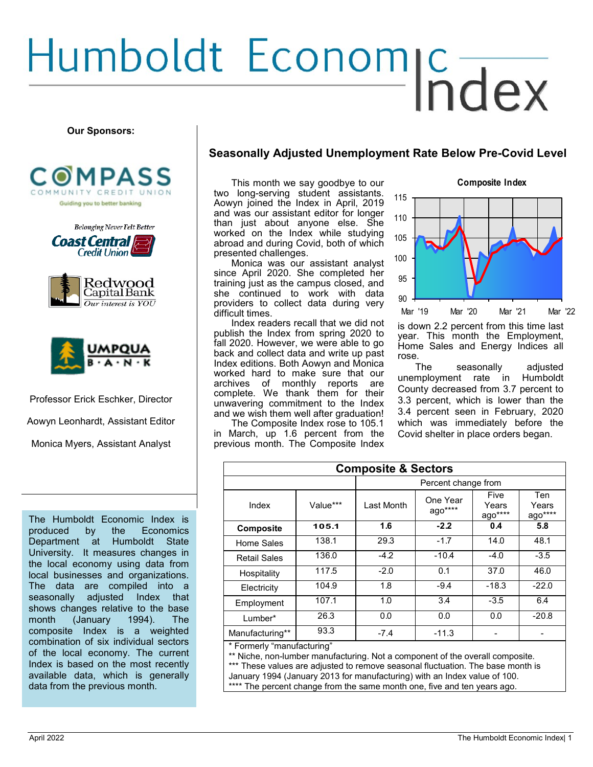# Humboldt Economic Track

#### **Our Sponsors:**





**Coast Central Credit Union** 





Professor Erick Eschker, Director

Aowyn Leonhardt, Assistant Editor

Monica Myers, Assistant Analyst

The Humboldt Economic Index is produced by the Economics Department at Humboldt State University. It measures changes in the local economy using data from local businesses and organizations. The data are compiled into a seasonally adjusted Index that shows changes relative to the base month (January 1994). The composite Index is a weighted combination of six individual sectors of the local economy. The current Index is based on the most recently available data, which is generally data from the previous month.

#### **Seasonally Adjusted Unemployment Rate Below Pre-Covid Level**

This month we say goodbye to our two long-serving student assistants. Aowyn joined the Index in April, 2019 and was our assistant editor for longer than just about anyone else. She worked on the Index while studying abroad and during Covid, both of which presented challenges.

Monica was our assistant analyst since April 2020. She completed her training just as the campus closed, and she continued to work with data providers to collect data during very difficult times.

Index readers recall that we did not publish the Index from spring 2020 to fall 2020. However, we were able to go back and collect data and write up past Index editions. Both Aowyn and Monica worked hard to make sure that our archives of monthly reports are complete. We thank them for their unwavering commitment to the Index and we wish them well after graduation!

The Composite Index rose to 105.1 in March, up 1.6 percent from the previous month. The Composite Index

|         | ,,,,,,<br>,,,,, ,,,, |         |  |         |         |  |
|---------|----------------------|---------|--|---------|---------|--|
| 115     |                      |         |  |         |         |  |
| 110     |                      |         |  |         |         |  |
| 105     |                      |         |  |         |         |  |
| 100     |                      |         |  |         |         |  |
| 95      |                      |         |  |         |         |  |
| 90      |                      |         |  |         |         |  |
| Mar '19 |                      | Mar '20 |  | Mar '21 | Mar '22 |  |

April 2022

**Composite Index**

is down 2.2 percent from this time last year. This month the Employment, Home Sales and Energy Indices all rose.

The seasonally adjusted unemployment rate in Humboldt County decreased from 3.7 percent to 3.3 percent, which is lower than the 3.4 percent seen in February, 2020 which was immediately before the Covid shelter in place orders began.

| <b>Composite &amp; Sectors</b> |          |            |                     |                          |                            |  |
|--------------------------------|----------|------------|---------------------|--------------------------|----------------------------|--|
|                                |          |            | Percent change from |                          |                            |  |
| Index                          | Value*** | Last Month | One Year<br>ago**** | Five<br>Years<br>ago**** | Ten<br>Years<br>$a$ go**** |  |
| <b>Composite</b>               | 105.1    | 1.6        | $-2.2$              | 0.4                      | 5.8                        |  |
| Home Sales                     | 138.1    | 29.3       | $-1.7$              | 14.0                     | 48.1                       |  |
| <b>Retail Sales</b>            | 136.0    | $-4.2$     | $-10.4$             | $-4.0$                   | $-3.5$                     |  |
| Hospitality                    | 117.5    | $-2.0$     | 0.1                 | 37.0                     | 46.0                       |  |
| Electricity                    | 104.9    | 1.8        | $-9.4$              | $-18.3$                  | $-22.0$                    |  |
| Employment                     | 107.1    | 1.0        | 3.4                 | $-3.5$                   | 6.4                        |  |
| Lumber*                        | 26.3     | 0.0        | 0.0                 | 0.0                      | $-20.8$                    |  |
| Manufacturing**                | 93.3     | $-7.4$     | $-11.3$             |                          |                            |  |
| * Formerly "manufacturing"     |          |            |                     |                          |                            |  |

Formerly "manutacturing

\*\* Niche, non-lumber manufacturing. Not a component of the overall composite. \*\*\* These values are adjusted to remove seasonal fluctuation. The base month is January 1994 (January 2013 for manufacturing) with an Index value of 100. \*\*\*\* The percent change from the same month one, five and ten years ago.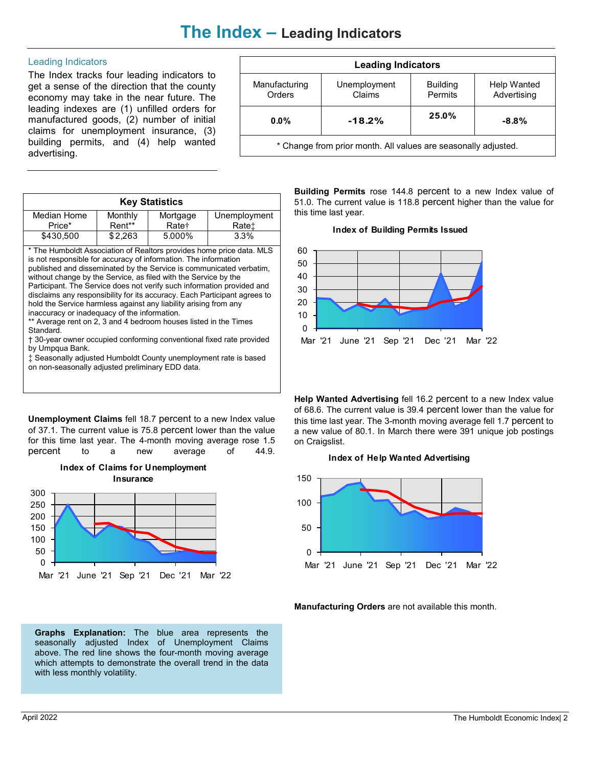## **The Index – Leading Indicators**

#### Leading Indicators

The Index tracks four leading indicators to get a sense of the direction that the county economy may take in the near future. The leading indexes are (1) unfilled orders for manufactured goods, (2) number of initial claims for unemployment insurance, (3) building permits, and (4) help wanted advertising.

| <b>Leading Indicators</b>                                      |                        |                            |                            |  |  |
|----------------------------------------------------------------|------------------------|----------------------------|----------------------------|--|--|
| Manufacturing<br>Orders                                        | Unemployment<br>Claims | <b>Building</b><br>Permits | Help Wanted<br>Advertising |  |  |
| $-18.2%$<br>$0.0\%$                                            |                        | 25.0%                      | $-8.8\%$                   |  |  |
| * Change from prior month. All values are seasonally adjusted. |                        |                            |                            |  |  |

| <b>Key Statistics</b> |         |                   |              |  |  |
|-----------------------|---------|-------------------|--------------|--|--|
| Median Home           | Monthly | Mortgage          | Unemployment |  |  |
| Price*                | Rent**  | Rate <sup>+</sup> | Ratet        |  |  |
| \$430.500             | \$2,263 | 5.000%            | 3.3%         |  |  |

\* The Humboldt Association of Realtors provides home price data. MLS is not responsible for accuracy of information. The information published and disseminated by the Service is communicated verbatim, without change by the Service, as filed with the Service by the Participant. The Service does not verify such information provided and disclaims any responsibility for its accuracy. Each Participant agrees to hold the Service harmless against any liability arising from any inaccuracy or inadequacy of the information.

\*\* Average rent on 2, 3 and 4 bedroom houses listed in the Times Standard.

† 30-year owner occupied conforming conventional fixed rate provided by Umpqua Bank.

‡ Seasonally adjusted Humboldt County unemployment rate is based on non-seasonally adjusted preliminary EDD data.

**Unemployment Claims** fell 18.7 percent to a new Index value of 37.1. The current value is 75.8 percent lower than the value for this time last year. The 4-month moving average rose 1.5 percent to a new average of 44.9.



**Index of Claims for Unemployment** 

**Graphs Explanation:** The blue area represents the seasonally adjusted Index of Unemployment Claims above. The red line shows the four-month moving average which attempts to demonstrate the overall trend in the data with less monthly volatility.

**Building Permits** rose 144.8 percent to a new Index value of 51.0. The current value is 118.8 percent higher than the value for this time last year.





**Help Wanted Advertising** fell 16.2 percent to a new Index value of 68.6. The current value is 39.4 percent lower than the value for this time last year. The 3-month moving average fell 1.7 percent to a new value of 80.1. In March there were 391 unique job postings on Craigslist.

#### **Index of Help Wanted Advertising**



**Manufacturing Orders** are not available this month.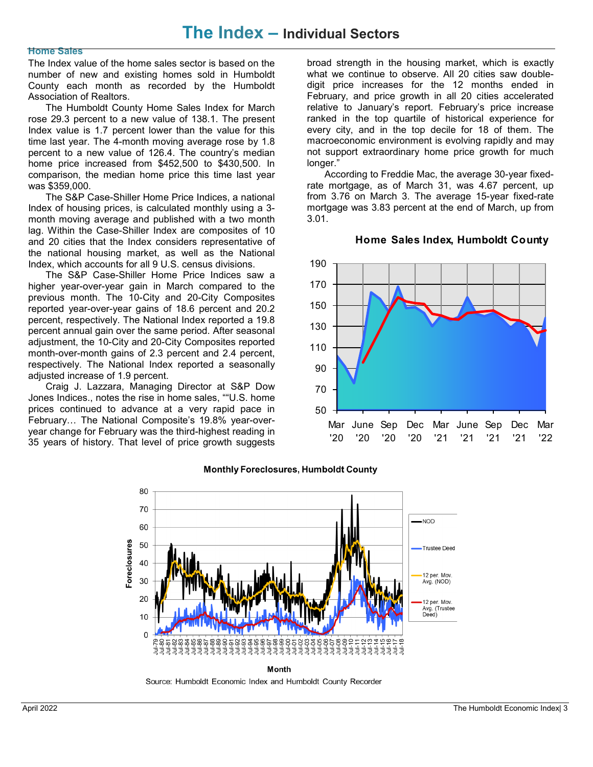### **The Index – Individual Sectors**

#### **Home Sales**

The Index value of the home sales sector is based on the number of new and existing homes sold in Humboldt County each month as recorded by the Humboldt Association of Realtors.

The Humboldt County Home Sales Index for March rose 29.3 percent to a new value of 138.1. The present Index value is 1.7 percent lower than the value for this time last year. The 4-month moving average rose by 1.8 percent to a new value of 126.4. The country's median home price increased from \$452,500 to \$430,500. In comparison, the median home price this time last year was \$359,000.

The S&P Case-Shiller Home Price Indices, a national Index of housing prices, is calculated monthly using a 3 month moving average and published with a two month lag. Within the Case-Shiller Index are composites of 10 and 20 cities that the Index considers representative of the national housing market, as well as the National Index, which accounts for all 9 U.S. census divisions.

The S&P Case-Shiller Home Price Indices saw a higher year-over-year gain in March compared to the previous month. The 10-City and 20-City Composites reported year-over-year gains of 18.6 percent and 20.2 percent, respectively. The National Index reported a 19.8 percent annual gain over the same period. After seasonal adjustment, the 10-City and 20-City Composites reported month-over-month gains of 2.3 percent and 2.4 percent, respectively. The National Index reported a seasonally adjusted increase of 1.9 percent.

Craig J. Lazzara, Managing Director at S&P Dow Jones Indices., notes the rise in home sales, ""U.S. home prices continued to advance at a very rapid pace in February… The National Composite's 19.8% year-overyear change for February was the third-highest reading in 35 years of history. That level of price growth suggests broad strength in the housing market, which is exactly what we continue to observe. All 20 cities saw doubledigit price increases for the 12 months ended in February, and price growth in all 20 cities accelerated relative to January's report. February's price increase ranked in the top quartile of historical experience for every city, and in the top decile for 18 of them. The macroeconomic environment is evolving rapidly and may not support extraordinary home price growth for much longer."

According to Freddie Mac, the average 30-year fixedrate mortgage, as of March 31, was 4.67 percent, up from 3.76 on March 3. The average 15-year fixed-rate mortgage was 3.83 percent at the end of March, up from 3.01.



#### **Home Sales Index, Humboldt County**



**Monthly Foreclosures, Humboldt County** 

Source: Humboldt Economic Index and Humboldt County Recorder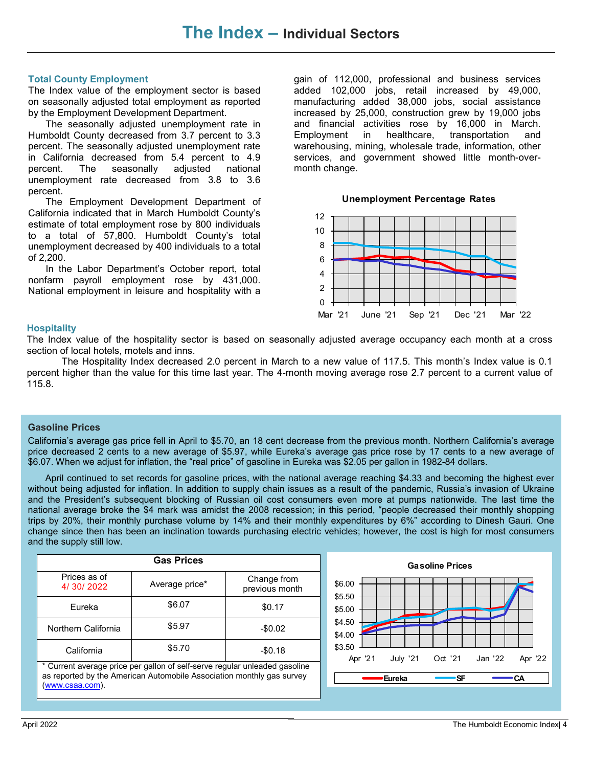#### **Total County Employment**

The Index value of the employment sector is based on seasonally adjusted total employment as reported by the Employment Development Department.

The seasonally adjusted unemployment rate in Humboldt County decreased from 3.7 percent to 3.3 percent. The seasonally adjusted unemployment rate in California decreased from 5.4 percent to 4.9 percent. The seasonally adjusted national unemployment rate decreased from 3.8 to 3.6 percent.

The Employment Development Department of California indicated that in March Humboldt County's estimate of total employment rose by 800 individuals to a total of 57,800. Humboldt County's total unemployment decreased by 400 individuals to a total of 2,200.

In the Labor Department's October report, total nonfarm payroll employment rose by 431,000. National employment in leisure and hospitality with a

gain of 112,000, professional and business services added 102,000 jobs, retail increased by 49,000, manufacturing added 38,000 jobs, social assistance increased by 25,000, construction grew by 19,000 jobs and financial activities rose by 16,000 in March. Employment in healthcare, transportation and warehousing, mining, wholesale trade, information, other services, and government showed little month-overmonth change.





#### **Hospitality**

The Index value of the hospitality sector is based on seasonally adjusted average occupancy each month at a cross section of local hotels, motels and inns.

The Hospitality Index decreased 2.0 percent in March to a new value of 117.5. This month's Index value is 0.1 percent higher than the value for this time last year. The 4-month moving average rose 2.7 percent to a current value of 115.8.

#### **Gasoline Prices**

California's average gas price fell in April to \$5.70, an 18 cent decrease from the previous month. Northern California's average price decreased 2 cents to a new average of \$5.97, while Eureka's average gas price rose by 17 cents to a new average of \$6.07. When we adjust for inflation, the "real price" of gasoline in Eureka was \$2.05 per gallon in 1982-84 dollars.

April continued to set records for gasoline prices, with the national average reaching \$4.33 and becoming the highest ever without being adjusted for inflation. In addition to supply chain issues as a result of the pandemic, Russia's invasion of Ukraine and the President's subsequent blocking of Russian oil cost consumers even more at pumps nationwide. The last time the national average broke the \$4 mark was amidst the 2008 recession; in this period, "people decreased their monthly shopping trips by 20%, their monthly purchase volume by 14% and their monthly expenditures by 6%" according to Dinesh Gauri. One change since then has been an inclination towards purchasing electric vehicles; however, the cost is high for most consumers and the supply still low.

| <b>Gas Prices</b>                                                                                                                                                      |                |                               |  |  |  |
|------------------------------------------------------------------------------------------------------------------------------------------------------------------------|----------------|-------------------------------|--|--|--|
| Prices as of<br>4/30/2022                                                                                                                                              | Average price* | Change from<br>previous month |  |  |  |
| Fureka                                                                                                                                                                 | \$6.07         | \$0.17                        |  |  |  |
| Northern California                                                                                                                                                    | \$5.97         | $-$0.02$                      |  |  |  |
| California                                                                                                                                                             | \$5.70         | $-$0.18$                      |  |  |  |
| * Current average price per gallon of self-serve regular unleaded gasoline<br>as reported by the American Automobile Association monthly gas survey<br>(www.csaa.com). |                |                               |  |  |  |

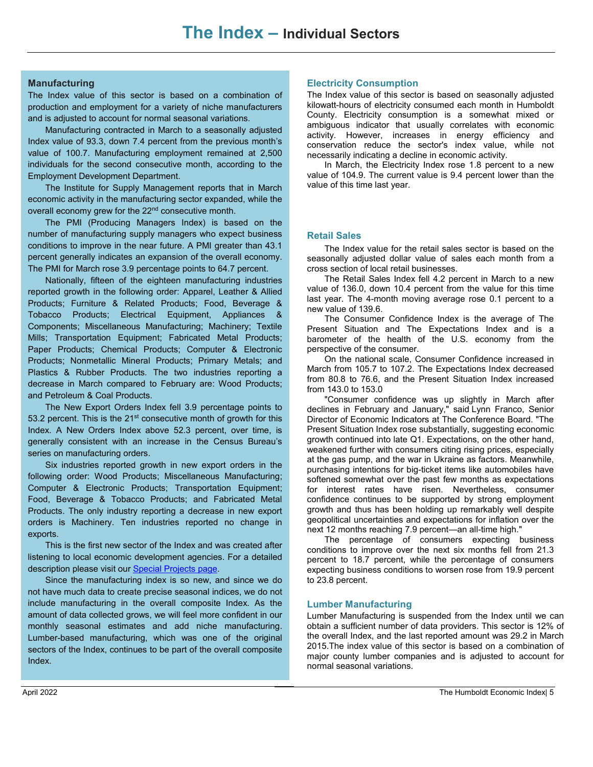#### **Manufacturing**

The Index value of this sector is based on a combination of production and employment for a variety of niche manufacturers and is adjusted to account for normal seasonal variations.

Manufacturing contracted in March to a seasonally adjusted Index value of 93.3, down 7.4 percent from the previous month's value of 100.7. Manufacturing employment remained at 2,500 individuals for the second consecutive month, according to the Employment Development Department.

The Institute for Supply Management reports that in March economic activity in the manufacturing sector expanded, while the overall economy grew for the 22<sup>nd</sup> consecutive month.

The PMI (Producing Managers Index) is based on the number of manufacturing supply managers who expect business conditions to improve in the near future. A PMI greater than 43.1 percent generally indicates an expansion of the overall economy. The PMI for March rose 3.9 percentage points to 64.7 percent.

Nationally, fifteen of the eighteen manufacturing industries reported growth in the following order: Apparel, Leather & Allied Products; Furniture & Related Products; Food, Beverage & Tobacco Products; Electrical Equipment, Appliances & Components; Miscellaneous Manufacturing; Machinery; Textile Mills; Transportation Equipment; Fabricated Metal Products; Paper Products; Chemical Products; Computer & Electronic Products; Nonmetallic Mineral Products; Primary Metals; and Plastics & Rubber Products. The two industries reporting a decrease in March compared to February are: Wood Products; and Petroleum & Coal Products.

The New Export Orders Index fell 3.9 percentage points to 53.2 percent. This is the  $21<sup>st</sup>$  consecutive month of growth for this Index. A New Orders Index above 52.3 percent, over time, is generally consistent with an increase in the Census Bureau's series on manufacturing orders.

Six industries reported growth in new export orders in the following order: Wood Products; Miscellaneous Manufacturing; Computer & Electronic Products; Transportation Equipment; Food, Beverage & Tobacco Products; and Fabricated Metal Products. The only industry reporting a decrease in new export orders is Machinery. Ten industries reported no change in exports.

This is the first new sector of the Index and was created after listening to local economic development agencies. For a detailed description please visit our [Special Projects page.](http://www.humboldt.edu/econindex/projects/newmanufacturingsector.pdf)

Since the manufacturing index is so new, and since we do not have much data to create precise seasonal indices, we do not include manufacturing in the overall composite Index. As the amount of data collected grows, we will feel more confident in our monthly seasonal estimates and add niche manufacturing. Lumber-based manufacturing, which was one of the original sectors of the Index, continues to be part of the overall composite Index.

#### **Electricity Consumption**

The Index value of this sector is based on seasonally adjusted kilowatt-hours of electricity consumed each month in Humboldt County. Electricity consumption is a somewhat mixed or ambiguous indicator that usually correlates with economic activity. However, increases in energy efficiency and conservation reduce the sector's index value, while not necessarily indicating a decline in economic activity.

In March, the Electricity Index rose 1.8 percent to a new value of 104.9. The current value is 9.4 percent lower than the value of this time last year.

#### **Retail Sales**

The Index value for the retail sales sector is based on the seasonally adjusted dollar value of sales each month from a cross section of local retail businesses.

The Retail Sales Index fell 4.2 percent in March to a new value of 136.0, down 10.4 percent from the value for this time last year. The 4-month moving average rose 0.1 percent to a new value of 139.6.

The Consumer Confidence Index is the average of The Present Situation and The Expectations Index and is a barometer of the health of the U.S. economy from the perspective of the consumer.

On the national scale, Consumer Confidence increased in March from 105.7 to 107.2. The Expectations Index decreased from 80.8 to 76.6, and the Present Situation Index increased from 143.0 to 153.0

"Consumer confidence was up slightly in March after declines in February and January," said Lynn Franco, Senior Director of Economic Indicators at The Conference Board. "The Present Situation Index rose substantially, suggesting economic growth continued into late Q1. Expectations, on the other hand, weakened further with consumers citing rising prices, especially at the gas pump, and the war in Ukraine as factors. Meanwhile, purchasing intentions for big-ticket items like automobiles have softened somewhat over the past few months as expectations for interest rates have risen. Nevertheless, consumer confidence continues to be supported by strong employment growth and thus has been holding up remarkably well despite geopolitical uncertainties and expectations for inflation over the next 12 months reaching 7.9 percent—an all-time high."

The percentage of consumers expecting business conditions to improve over the next six months fell from 21.3 percent to 18.7 percent, while the percentage of consumers expecting business conditions to worsen rose from 19.9 percent to 23.8 percent.

#### **Lumber Manufacturing**

Lumber Manufacturing is suspended from the Index until we can obtain a sufficient number of data providers. This sector is 12% of the overall Index, and the last reported amount was 29.2 in March 2015.The index value of this sector is based on a combination of major county lumber companies and is adjusted to account for normal seasonal variations.